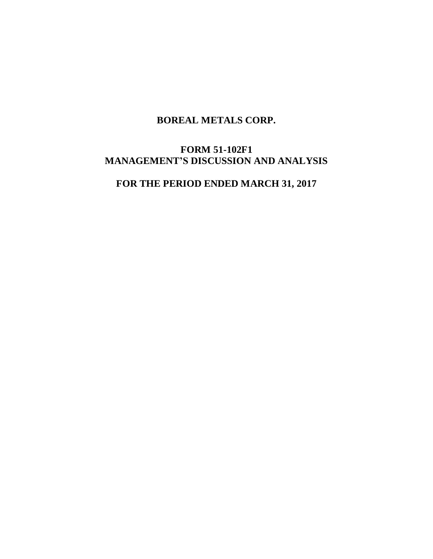# **BOREAL METALS CORP.**

# **FORM 51-102F1 MANAGEMENT'S DISCUSSION AND ANALYSIS**

# **FOR THE PERIOD ENDED MARCH 31, 2017**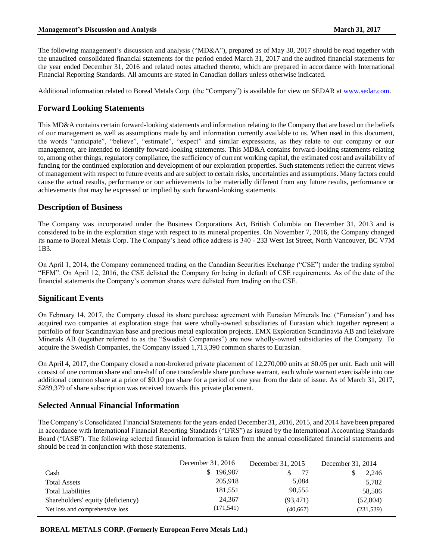The following management's discussion and analysis ("MD&A"), prepared as of May 30, 2017 should be read together with the unaudited consolidated financial statements for the period ended March 31, 2017 and the audited financial statements for the year ended December 31, 2016 and related notes attached thereto, which are prepared in accordance with International Financial Reporting Standards. All amounts are stated in Canadian dollars unless otherwise indicated.

Additional information related to Boreal Metals Corp. (the "Company") is available for view on SEDAR at [www.sedar.com.](http://www.sedar.com/)

# **Forward Looking Statements**

This MD&A contains certain forward-looking statements and information relating to the Company that are based on the beliefs of our management as well as assumptions made by and information currently available to us. When used in this document, the words "anticipate", "believe", "estimate", "expect" and similar expressions, as they relate to our company or our management, are intended to identify forward-looking statements. This MD&A contains forward-looking statements relating to, among other things, regulatory compliance, the sufficiency of current working capital, the estimated cost and availability of funding for the continued exploration and development of our exploration properties. Such statements reflect the current views of management with respect to future events and are subject to certain risks, uncertainties and assumptions. Many factors could cause the actual results, performance or our achievements to be materially different from any future results, performance or achievements that may be expressed or implied by such forward-looking statements.

# **Description of Business**

The Company was incorporated under the Business Corporations Act, British Columbia on December 31, 2013 and is considered to be in the exploration stage with respect to its mineral properties. On November 7, 2016, the Company changed its name to Boreal Metals Corp. The Company's head office address is 340 - 233 West 1st Street, North Vancouver, BC V7M 1B3.

On April 1, 2014, the Company commenced trading on the Canadian Securities Exchange ("CSE") under the trading symbol "EFM". On April 12, 2016, the CSE delisted the Company for being in default of CSE requirements. As of the date of the financial statements the Company's common shares were delisted from trading on the CSE.

# **Significant Events**

On February 14, 2017, the Company closed its share purchase agreement with Eurasian Minerals Inc. ("Eurasian") and has acquired two companies at exploration stage that were wholly-owned subsidiaries of Eurasian which together represent a portfolio of four Scandinavian base and precious metal exploration projects. EMX Exploration Scandinavia AB and Iekelvare Minerals AB (together referred to as the "Swedish Companies") are now wholly-owned subsidiaries of the Company. To acquire the Swedish Companies, the Company issued 1,713,390 common shares to Eurasian.

On April 4, 2017, the Company closed a non-brokered private placement of 12,270,000 units at \$0.05 per unit. Each unit will consist of one common share and one-half of one transferable share purchase warrant, each whole warrant exercisable into one additional common share at a price of \$0.10 per share for a period of one year from the date of issue. As of March 31, 2017, \$289,379 of share subscription was received towards this private placement.

# **Selected Annual Financial Information**

The Company's Consolidated Financial Statements for the years ended December 31, 2016, 2015, and 2014 have been prepared in accordance with International Financial Reporting Standards ("IFRS") as issued by the International Accounting Standards Board ("IASB"). The following selected financial information is taken from the annual consolidated financial statements and should be read in conjunction with those statements.

|                                   | December 31, 2016 | December 31, 2015 | December 31, 2014 |
|-----------------------------------|-------------------|-------------------|-------------------|
| Cash                              | 196.987           | -77               | 2,246             |
| <b>Total Assets</b>               | 205,918           | 5,084             | 5,782             |
| <b>Total Liabilities</b>          | 181,551           | 98,555            | 58,586            |
| Shareholders' equity (deficiency) | 24,367            | (93, 471)         | (52, 804)         |
| Net loss and comprehensive loss   | (171, 541)        | (40,667)          | (231, 539)        |

**BOREAL METALS CORP. (Formerly European Ferro Metals Ltd.)**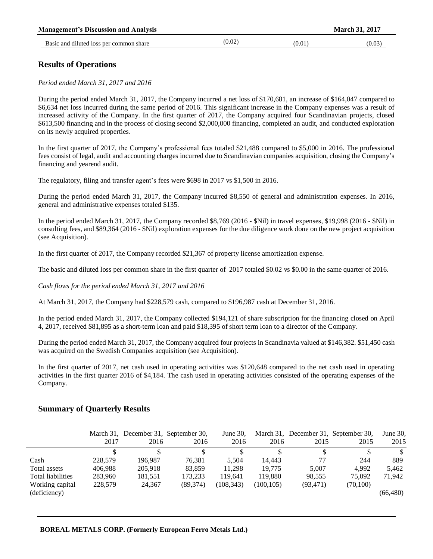| <b>Management's Discussion and Analysis</b> |        |        | <b>March 31, 2017</b> |
|---------------------------------------------|--------|--------|-----------------------|
| Basic and diluted loss per common share     | (0.02) | (0.01) | (0.03)                |

# **Results of Operations**

*Period ended March 31, 2017 and 2016*

During the period ended March 31, 2017, the Company incurred a net loss of \$170,681, an increase of \$164,047 compared to \$6,634 net loss incurred during the same period of 2016. This significant increase in the Company expenses was a result of increased activity of the Company. In the first quarter of 2017, the Company acquired four Scandinavian projects, closed \$613,500 financing and in the process of closing second \$2,000,000 financing, completed an audit, and conducted exploration on its newly acquired properties.

In the first quarter of 2017, the Company's professional fees totaled \$21,488 compared to \$5,000 in 2016. The professional fees consist of legal, audit and accounting charges incurred due to Scandinavian companies acquisition, closing the Company's financing and yearend audit.

The regulatory, filing and transfer agent's fees were \$698 in 2017 vs \$1,500 in 2016.

During the period ended March 31, 2017, the Company incurred \$8,550 of general and administration expenses. In 2016, general and administrative expenses totaled \$135.

In the period ended March 31, 2017, the Company recorded \$8,769 (2016 - \$Nil) in travel expenses, \$19,998 (2016 - \$Nil) in consulting fees, and \$89,364 (2016 - \$Nil) exploration expenses for the due diligence work done on the new project acquisition (see Acquisition).

In the first quarter of 2017, the Company recorded \$21,367 of property license amortization expense.

The basic and diluted loss per common share in the first quarter of 2017 totaled \$0.02 vs \$0.00 in the same quarter of 2016.

*Cash flows for the period ended March 31, 2017 and 2016*

At March 31, 2017, the Company had \$228,579 cash, compared to \$196,987 cash at December 31, 2016.

In the period ended March 31, 2017, the Company collected \$194,121 of share subscription for the financing closed on April 4, 2017, received \$81,895 as a short-term loan and paid \$18,395 of short term loan to a director of the Company.

During the period ended March 31, 2017, the Company acquired four projects in Scandinavia valued at \$146,382. \$51,450 cash was acquired on the Swedish Companies acquisition (see Acquisition).

In the first quarter of 2017, net cash used in operating activities was \$120,648 compared to the net cash used in operating activities in the first quarter 2016 of \$4,184. The cash used in operating activities consisted of the operating expenses of the Company.

# **Summary of Quarterly Results**

|                   |         |         | March 31, December 31, September 30, | June 30,   |            |           | March 31, December 31, September 30, | June 30,  |
|-------------------|---------|---------|--------------------------------------|------------|------------|-----------|--------------------------------------|-----------|
|                   | 2017    | 2016    | 2016                                 | 2016       | 2016       | 2015      | 2015                                 | 2015      |
|                   |         |         |                                      |            |            |           |                                      |           |
| Cash              | 228,579 | 196.987 | 76.381                               | 5.504      | 14.443     | 77        | 244                                  | 889       |
| Total assets      | 406.988 | 205.918 | 83,859                               | 11.298     | 19.775     | 5.007     | 4.992                                | 5.462     |
| Total liabilities | 283,960 | 181,551 | 173.233                              | 119.641    | 119.880    | 98.555    | 75.092                               | 71.942    |
| Working capital   | 228,579 | 24,367  | (89, 374)                            | (108, 343) | (100, 105) | (93, 471) | (70,100)                             |           |
| (deficiency)      |         |         |                                      |            |            |           |                                      | (66, 480) |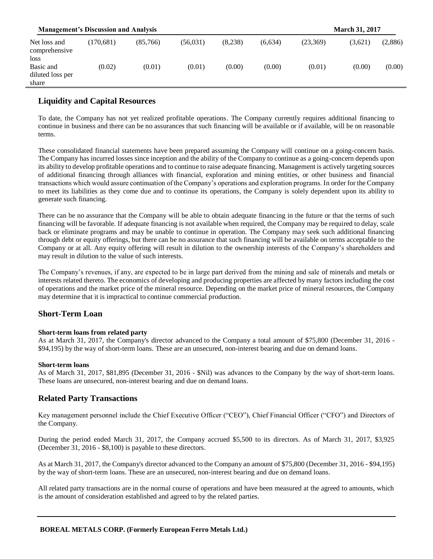| <b>Management's Discussion and Analysis</b> |           |          |           |         |         |          | <b>March 31, 2017</b> |         |
|---------------------------------------------|-----------|----------|-----------|---------|---------|----------|-----------------------|---------|
| Net loss and<br>comprehensive<br>loss       | (170.681) | (85,766) | (56, 031) | (8,238) | (6,634) | (23,369) | (3,621)               | (2,886) |
| Basic and<br>diluted loss per<br>share      | (0.02)    | (0.01)   | (0.01)    | (0.00)  | (0.00)  | (0.01)   | (0.00)                | (0.00)  |

# **Liquidity and Capital Resources**

To date, the Company has not yet realized profitable operations. The Company currently requires additional financing to continue in business and there can be no assurances that such financing will be available or if available, will be on reasonable terms.

These consolidated financial statements have been prepared assuming the Company will continue on a going-concern basis. The Company has incurred losses since inception and the ability of the Company to continue as a going-concern depends upon its ability to develop profitable operations and to continue to raise adequate financing. Management is actively targeting sources of additional financing through alliances with financial, exploration and mining entities, or other business and financial transactions which would assure continuation of the Company's operations and exploration programs. In order for the Company to meet its liabilities as they come due and to continue its operations, the Company is solely dependent upon its ability to generate such financing.

There can be no assurance that the Company will be able to obtain adequate financing in the future or that the terms of such financing will be favorable. If adequate financing is not available when required, the Company may be required to delay, scale back or eliminate programs and may be unable to continue in operation. The Company may seek such additional financing through debt or equity offerings, but there can be no assurance that such financing will be available on terms acceptable to the Company or at all. Any equity offering will result in dilution to the ownership interests of the Company's shareholders and may result in dilution to the value of such interests.

The Company's revenues, if any, are expected to be in large part derived from the mining and sale of minerals and metals or interests related thereto. The economics of developing and producing properties are affected by many factors including the cost of operations and the market price of the mineral resource. Depending on the market price of mineral resources, the Company may determine that it is impractical to continue commercial production.

# **Short-Term Loan**

#### **Short-term loans from related party**

As at March 31, 2017, the Company's director advanced to the Company a total amount of \$75,800 (December 31, 2016 - \$94,195) by the way of short-term loans. These are an unsecured, non-interest bearing and due on demand loans.

#### **Short-term loans**

As of March 31, 2017, \$81,895 (December 31, 2016 - \$Nil) was advances to the Company by the way of short-term loans. These loans are unsecured, non-interest bearing and due on demand loans.

# **Related Party Transactions**

Key management personnel include the Chief Executive Officer ("CEO"), Chief Financial Officer ("CFO") and Directors of the Company.

During the period ended March 31, 2017, the Company accrued \$5,500 to its directors. As of March 31, 2017, \$3,925 (December 31, 2016 - \$8,100) is payable to these directors.

As at March 31, 2017, the Company's director advanced to the Company an amount of \$75,800 (December 31, 2016 - \$94,195) by the way of short-term loans. These are an unsecured, non-interest bearing and due on demand loans.

All related party transactions are in the normal course of operations and have been measured at the agreed to amounts, which is the amount of consideration established and agreed to by the related parties.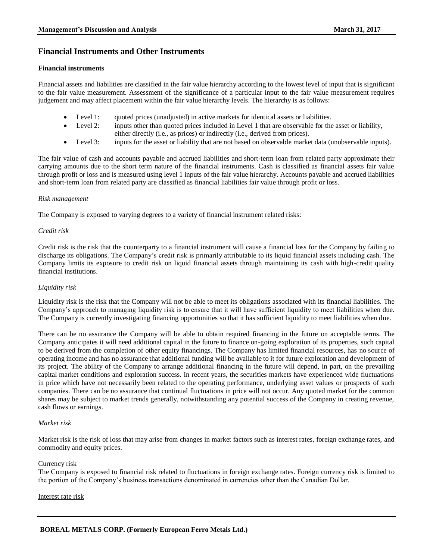### **Financial Instruments and Other Instruments**

#### **Financial instruments**

Financial assets and liabilities are classified in the fair value hierarchy according to the lowest level of input that is significant to the fair value measurement. Assessment of the significance of a particular input to the fair value measurement requires judgement and may affect placement within the fair value hierarchy levels. The hierarchy is as follows:

- Level 1: quoted prices (unadjusted) in active markets for identical assets or liabilities.
- Level 2: inputs other than quoted prices included in Level 1 that are observable for the asset or liability, either directly (i.e., as prices) or indirectly (i.e., derived from prices).
- Level 3: inputs for the asset or liability that are not based on observable market data (unobservable inputs).

The fair value of cash and accounts payable and accrued liabilities and short-term loan from related party approximate their carrying amounts due to the short term nature of the financial instruments. Cash is classified as financial assets fair value through profit or loss and is measured using level 1 inputs of the fair value hierarchy. Accounts payable and accrued liabilities and short-term loan from related party are classified as financial liabilities fair value through profit or loss.

#### *Risk management*

The Company is exposed to varying degrees to a variety of financial instrument related risks:

#### *Credit risk*

Credit risk is the risk that the counterparty to a financial instrument will cause a financial loss for the Company by failing to discharge its obligations. The Company's credit risk is primarily attributable to its liquid financial assets including cash. The Company limits its exposure to credit risk on liquid financial assets through maintaining its cash with high-credit quality financial institutions.

#### *Liquidity risk*

Liquidity risk is the risk that the Company will not be able to meet its obligations associated with its financial liabilities. The Company's approach to managing liquidity risk is to ensure that it will have sufficient liquidity to meet liabilities when due. The Company is currently investigating financing opportunities so that it has sufficient liquidity to meet liabilities when due.

There can be no assurance the Company will be able to obtain required financing in the future on acceptable terms. The Company anticipates it will need additional capital in the future to finance on-going exploration of its properties, such capital to be derived from the completion of other equity financings. The Company has limited financial resources, has no source of operating income and has no assurance that additional funding will be available to it for future exploration and development of its project. The ability of the Company to arrange additional financing in the future will depend, in part, on the prevailing capital market conditions and exploration success. In recent years, the securities markets have experienced wide fluctuations in price which have not necessarily been related to the operating performance, underlying asset values or prospects of such companies. There can be no assurance that continual fluctuations in price will not occur. Any quoted market for the common shares may be subject to market trends generally, notwithstanding any potential success of the Company in creating revenue, cash flows or earnings.

#### *Market risk*

Market risk is the risk of loss that may arise from changes in market factors such as interest rates, foreign exchange rates, and commodity and equity prices.

#### Currency risk

The Company is exposed to financial risk related to fluctuations in foreign exchange rates. Foreign currency risk is limited to the portion of the Company's business transactions denominated in currencies other than the Canadian Dollar.

#### Interest rate risk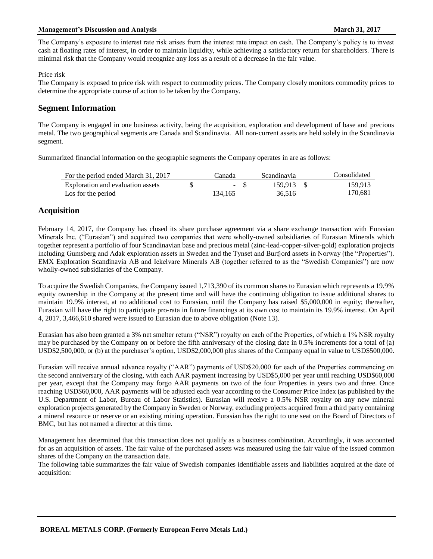#### **Management's Discussion and Analysis Management's Discussion and Analysis March 31, 2017**

The Company's exposure to interest rate risk arises from the interest rate impact on cash. The Company's policy is to invest cash at floating rates of interest, in order to maintain liquidity, while achieving a satisfactory return for shareholders. There is minimal risk that the Company would recognize any loss as a result of a decrease in the fair value.

#### Price risk

The Company is exposed to price risk with respect to commodity prices. The Company closely monitors commodity prices to determine the appropriate course of action to be taken by the Company.

### **Segment Information**

The Company is engaged in one business activity, being the acquisition, exploration and development of base and precious metal. The two geographical segments are Canada and Scandinavia. All non-current assets are held solely in the Scandinavia segment.

Summarized financial information on the geographic segments the Company operates in are as follows:

| For the period ended March 31, 2017 | Canada  | Scandinavia | Consolidated |
|-------------------------------------|---------|-------------|--------------|
| Exploration and evaluation assets   | $- S$   | 159.913 \$  | 159.913      |
| Los for the period                  | 134.165 | 36.516      | 170.681      |

# **Acquisition**

February 14, 2017, the Company has closed its share purchase agreement via a share exchange transaction with Eurasian Minerals Inc. ("Eurasian") and acquired two companies that were wholly-owned subsidiaries of Eurasian Minerals which together represent a portfolio of four Scandinavian base and precious metal (zinc-lead-copper-silver-gold) exploration projects including Gumsberg and Adak exploration assets in Sweden and the Tynset and Burfjord assets in Norway (the "Properties"). EMX Exploration Scandinavia AB and Iekelvare Minerals AB (together referred to as the "Swedish Companies") are now wholly-owned subsidiaries of the Company.

To acquire the Swedish Companies, the Company issued 1,713,390 of its common shares to Eurasian which represents a 19.9% equity ownership in the Company at the present time and will have the continuing obligation to issue additional shares to maintain 19.9% interest, at no additional cost to Eurasian, until the Company has raised \$5,000,000 in equity; thereafter, Eurasian will have the right to participate pro-rata in future financings at its own cost to maintain its 19.9% interest. On April 4, 2017, 3,466,610 shared were issued to Eurasian due to above obligation (Note 13).

Eurasian has also been granted a 3% net smelter return ("NSR") royalty on each of the Properties, of which a 1% NSR royalty may be purchased by the Company on or before the fifth anniversary of the closing date in 0.5% increments for a total of (a) USD\$2,500,000, or (b) at the purchaser's option, USD\$2,000,000 plus shares of the Company equal in value to USD\$500,000.

Eurasian will receive annual advance royalty ("AAR") payments of USD\$20,000 for each of the Properties commencing on the second anniversary of the closing, with each AAR payment increasing by USD\$5,000 per year until reaching USD\$60,000 per year, except that the Company may forgo AAR payments on two of the four Properties in years two and three. Once reaching USD\$60,000, AAR payments will be adjusted each year according to the Consumer Price Index (as published by the U.S. Department of Labor, Bureau of Labor Statistics). Eurasian will receive a 0.5% NSR royalty on any new mineral exploration projects generated by the Company in Sweden or Norway, excluding projects acquired from a third party containing a mineral resource or reserve or an existing mining operation. Eurasian has the right to one seat on the Board of Directors of BMC, but has not named a director at this time.

Management has determined that this transaction does not qualify as a business combination. Accordingly, it was accounted for as an acquisition of assets. The fair value of the purchased assets was measured using the fair value of the issued common shares of the Company on the transaction date.

The following table summarizes the fair value of Swedish companies identifiable assets and liabilities acquired at the date of acquisition: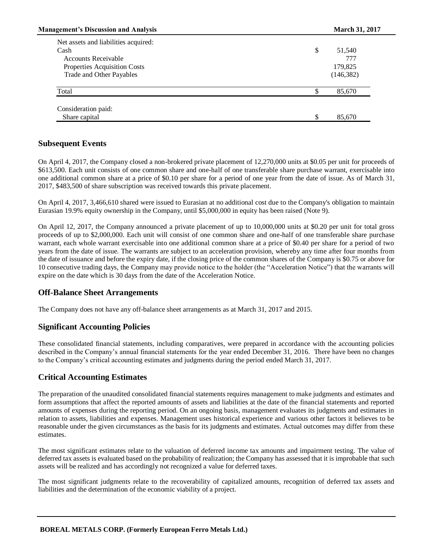| <b>Management's Discussion and Analysis</b> |    | <b>March 31, 2017</b> |  |
|---------------------------------------------|----|-----------------------|--|
| Net assets and liabilities acquired:        |    |                       |  |
| Cash                                        | \$ | 51,540                |  |
| <b>Accounts Receivable</b>                  |    | 777                   |  |
| Properties Acquisition Costs                |    | 179,825               |  |
| Trade and Other Payables                    |    | (146, 382)            |  |
| Total                                       |    | 85,670                |  |
| Consideration paid:                         |    |                       |  |
| Share capital                               | S  | 85,670                |  |

# **Subsequent Events**

On April 4, 2017, the Company closed a non-brokered private placement of 12,270,000 units at \$0.05 per unit for proceeds of \$613,500. Each unit consists of one common share and one-half of one transferable share purchase warrant, exercisable into one additional common share at a price of \$0.10 per share for a period of one year from the date of issue. As of March 31, 2017, \$483,500 of share subscription was received towards this private placement.

On April 4, 2017, 3,466,610 shared were issued to Eurasian at no additional cost due to the Company's obligation to maintain Eurasian 19.9% equity ownership in the Company, until \$5,000,000 in equity has been raised (Note 9).

On April 12, 2017, the Company announced a private placement of up to 10,000,000 units at \$0.20 per unit for total gross proceeds of up to \$2,000,000. Each unit will consist of one common share and one-half of one transferable share purchase warrant, each whole warrant exercisable into one additional common share at a price of \$0.40 per share for a period of two years from the date of issue. The warrants are subject to an acceleration provision, whereby any time after four months from the date of issuance and before the expiry date, if the closing price of the common shares of the Company is \$0.75 or above for 10 consecutive trading days, the Company may provide notice to the holder (the "Acceleration Notice") that the warrants will expire on the date which is 30 days from the date of the Acceleration Notice.

# **Off-Balance Sheet Arrangements**

The Company does not have any off-balance sheet arrangements as at March 31, 2017 and 2015.

# **Significant Accounting Policies**

These consolidated financial statements, including comparatives, were prepared in accordance with the accounting policies described in the Company's annual financial statements for the year ended December 31, 2016. There have been no changes to the Company's critical accounting estimates and judgments during the period ended March 31, 2017.

# **Critical Accounting Estimates**

The preparation of the unaudited consolidated financial statements requires management to make judgments and estimates and form assumptions that affect the reported amounts of assets and liabilities at the date of the financial statements and reported amounts of expenses during the reporting period. On an ongoing basis, management evaluates its judgments and estimates in relation to assets, liabilities and expenses. Management uses historical experience and various other factors it believes to be reasonable under the given circumstances as the basis for its judgments and estimates. Actual outcomes may differ from these estimates.

The most significant estimates relate to the valuation of deferred income tax amounts and impairment testing. The value of deferred tax assets is evaluated based on the probability of realization; the Company has assessed that it is improbable that such assets will be realized and has accordingly not recognized a value for deferred taxes.

The most significant judgments relate to the recoverability of capitalized amounts, recognition of deferred tax assets and liabilities and the determination of the economic viability of a project.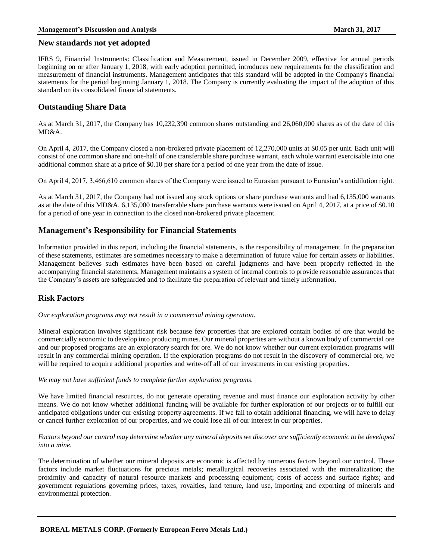### **New standards not yet adopted**

IFRS 9, Financial Instruments: Classification and Measurement, issued in December 2009, effective for annual periods beginning on or after January 1, 2018, with early adoption permitted, introduces new requirements for the classification and measurement of financial instruments. Management anticipates that this standard will be adopted in the Company's financial statements for the period beginning January 1, 2018. The Company is currently evaluating the impact of the adoption of this standard on its consolidated financial statements.

# **Outstanding Share Data**

As at March 31, 2017, the Company has 10,232,390 common shares outstanding and 26,060,000 shares as of the date of this MD&A.

On April 4, 2017, the Company closed a non-brokered private placement of 12,270,000 units at \$0.05 per unit. Each unit will consist of one common share and one-half of one transferable share purchase warrant, each whole warrant exercisable into one additional common share at a price of \$0.10 per share for a period of one year from the date of issue.

On April 4, 2017, 3,466,610 common shares of the Company were issued to Eurasian pursuant to Eurasian's antidilution right.

As at March 31, 2017, the Company had not issued any stock options or share purchase warrants and had 6,135,000 warrants as at the date of this MD&A. 6,135,000 transferrable share purchase warrants were issued on April 4, 2017, at a price of \$0.10 for a period of one year in connection to the closed non-brokered private placement.

# **Management's Responsibility for Financial Statements**

Information provided in this report, including the financial statements, is the responsibility of management. In the preparation of these statements, estimates are sometimes necessary to make a determination of future value for certain assets or liabilities. Management believes such estimates have been based on careful judgments and have been properly reflected in the accompanying financial statements. Management maintains a system of internal controls to provide reasonable assurances that the Company's assets are safeguarded and to facilitate the preparation of relevant and timely information.

# **Risk Factors**

*Our exploration programs may not result in a commercial mining operation.*

Mineral exploration involves significant risk because few properties that are explored contain bodies of ore that would be commercially economic to develop into producing mines. Our mineral properties are without a known body of commercial ore and our proposed programs are an exploratory search for ore. We do not know whether our current exploration programs will result in any commercial mining operation. If the exploration programs do not result in the discovery of commercial ore, we will be required to acquire additional properties and write-off all of our investments in our existing properties.

#### *We may not have sufficient funds to complete further exploration programs.*

We have limited financial resources, do not generate operating revenue and must finance our exploration activity by other means. We do not know whether additional funding will be available for further exploration of our projects or to fulfill our anticipated obligations under our existing property agreements. If we fail to obtain additional financing, we will have to delay or cancel further exploration of our properties, and we could lose all of our interest in our properties.

#### *Factors beyond our control may determine whether any mineral deposits we discover are sufficiently economic to be developed into a mine.*

The determination of whether our mineral deposits are economic is affected by numerous factors beyond our control. These factors include market fluctuations for precious metals; metallurgical recoveries associated with the mineralization; the proximity and capacity of natural resource markets and processing equipment; costs of access and surface rights; and government regulations governing prices, taxes, royalties, land tenure, land use, importing and exporting of minerals and environmental protection.